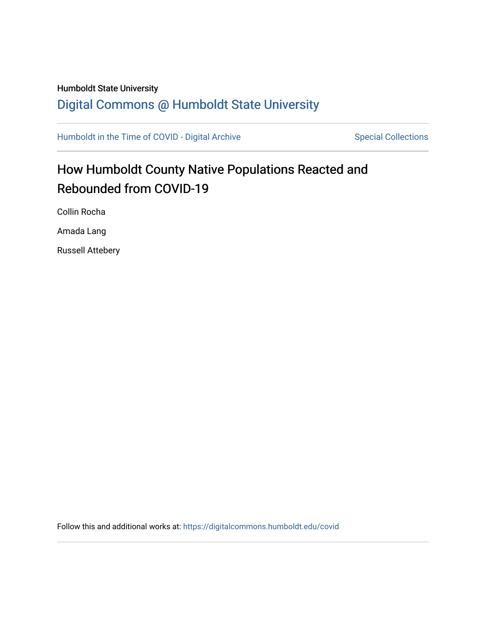## Humboldt State University [Digital Commons @ Humboldt State University](https://digitalcommons.humboldt.edu/)

[Humboldt in the Time of COVID - Digital Archive](https://digitalcommons.humboldt.edu/covid) Special Collections

# How Humboldt County Native Populations Reacted and Rebounded from COVID-19

Collin Rocha

Amada Lang

Russell Attebery

Follow this and additional works at: [https://digitalcommons.humboldt.edu/covid](https://digitalcommons.humboldt.edu/covid?utm_source=digitalcommons.humboldt.edu%2Fcovid%2F194&utm_medium=PDF&utm_campaign=PDFCoverPages)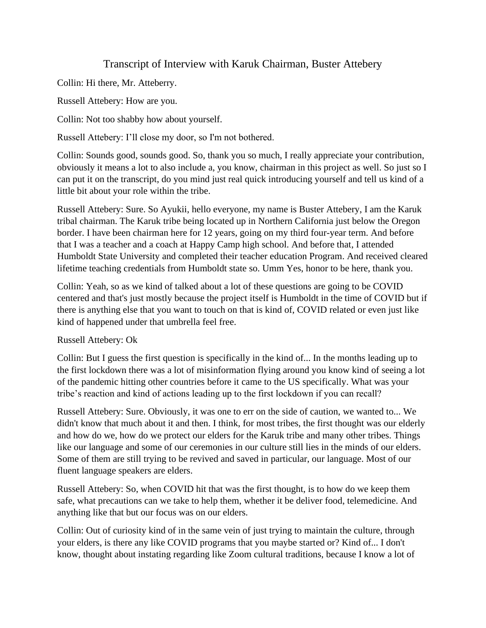## Transcript of Interview with Karuk Chairman, Buster Attebery

Collin: Hi there, Mr. Atteberry.

Russell Attebery: How are you.

Collin: Not too shabby how about yourself.

Russell Attebery: I'll close my door, so I'm not bothered.

Collin: Sounds good, sounds good. So, thank you so much, I really appreciate your contribution, obviously it means a lot to also include a, you know, chairman in this project as well. So just so I can put it on the transcript, do you mind just real quick introducing yourself and tell us kind of a little bit about your role within the tribe.

Russell Attebery: Sure. So Ayukii, hello everyone, my name is Buster Attebery, I am the Karuk tribal chairman. The Karuk tribe being located up in Northern California just below the Oregon border. I have been chairman here for 12 years, going on my third four-year term. And before that I was a teacher and a coach at Happy Camp high school. And before that, I attended Humboldt State University and completed their teacher education Program. And received cleared lifetime teaching credentials from Humboldt state so. Umm Yes, honor to be here, thank you.

Collin: Yeah, so as we kind of talked about a lot of these questions are going to be COVID centered and that's just mostly because the project itself is Humboldt in the time of COVID but if there is anything else that you want to touch on that is kind of, COVID related or even just like kind of happened under that umbrella feel free.

Russell Attebery: Ok

Collin: But I guess the first question is specifically in the kind of... In the months leading up to the first lockdown there was a lot of misinformation flying around you know kind of seeing a lot of the pandemic hitting other countries before it came to the US specifically. What was your tribe's reaction and kind of actions leading up to the first lockdown if you can recall?

Russell Attebery: Sure. Obviously, it was one to err on the side of caution, we wanted to... We didn't know that much about it and then. I think, for most tribes, the first thought was our elderly and how do we, how do we protect our elders for the Karuk tribe and many other tribes. Things like our language and some of our ceremonies in our culture still lies in the minds of our elders. Some of them are still trying to be revived and saved in particular, our language. Most of our fluent language speakers are elders.

Russell Attebery: So, when COVID hit that was the first thought, is to how do we keep them safe, what precautions can we take to help them, whether it be deliver food, telemedicine. And anything like that but our focus was on our elders.

Collin: Out of curiosity kind of in the same vein of just trying to maintain the culture, through your elders, is there any like COVID programs that you maybe started or? Kind of... I don't know, thought about instating regarding like Zoom cultural traditions, because I know a lot of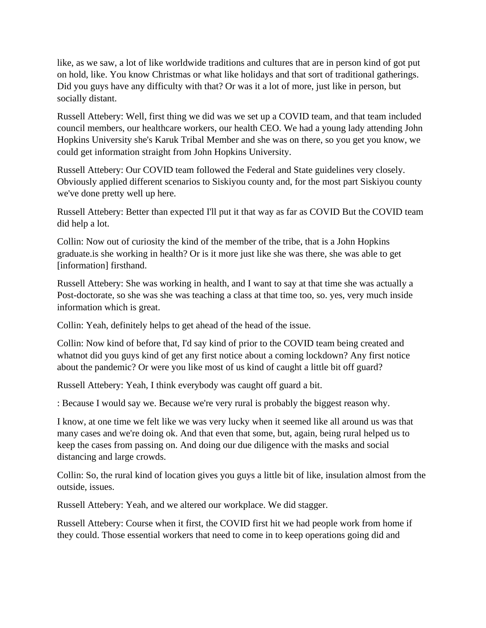like, as we saw, a lot of like worldwide traditions and cultures that are in person kind of got put on hold, like. You know Christmas or what like holidays and that sort of traditional gatherings. Did you guys have any difficulty with that? Or was it a lot of more, just like in person, but socially distant.

Russell Attebery: Well, first thing we did was we set up a COVID team, and that team included council members, our healthcare workers, our health CEO. We had a young lady attending John Hopkins University she's Karuk Tribal Member and she was on there, so you get you know, we could get information straight from John Hopkins University.

Russell Attebery: Our COVID team followed the Federal and State guidelines very closely. Obviously applied different scenarios to Siskiyou county and, for the most part Siskiyou county we've done pretty well up here.

Russell Attebery: Better than expected I'll put it that way as far as COVID But the COVID team did help a lot.

Collin: Now out of curiosity the kind of the member of the tribe, that is a John Hopkins graduate.is she working in health? Or is it more just like she was there, she was able to get [information] firsthand.

Russell Attebery: She was working in health, and I want to say at that time she was actually a Post-doctorate, so she was she was teaching a class at that time too, so. yes, very much inside information which is great.

Collin: Yeah, definitely helps to get ahead of the head of the issue.

Collin: Now kind of before that, I'd say kind of prior to the COVID team being created and whatnot did you guys kind of get any first notice about a coming lockdown? Any first notice about the pandemic? Or were you like most of us kind of caught a little bit off guard?

Russell Attebery: Yeah, I think everybody was caught off guard a bit.

: Because I would say we. Because we're very rural is probably the biggest reason why.

I know, at one time we felt like we was very lucky when it seemed like all around us was that many cases and we're doing ok. And that even that some, but, again, being rural helped us to keep the cases from passing on. And doing our due diligence with the masks and social distancing and large crowds.

Collin: So, the rural kind of location gives you guys a little bit of like, insulation almost from the outside, issues.

Russell Attebery: Yeah, and we altered our workplace. We did stagger.

Russell Attebery: Course when it first, the COVID first hit we had people work from home if they could. Those essential workers that need to come in to keep operations going did and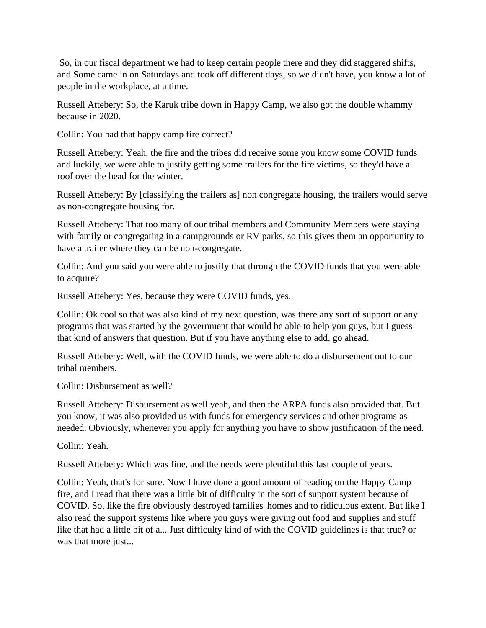So, in our fiscal department we had to keep certain people there and they did staggered shifts, and Some came in on Saturdays and took off different days, so we didn't have, you know a lot of people in the workplace, at a time.

Russell Attebery: So, the Karuk tribe down in Happy Camp, we also got the double whammy because in 2020.

Collin: You had that happy camp fire correct?

Russell Attebery: Yeah, the fire and the tribes did receive some you know some COVID funds and luckily, we were able to justify getting some trailers for the fire victims, so they'd have a roof over the head for the winter.

Russell Attebery: By [classifying the trailers as] non congregate housing, the trailers would serve as non-congregate housing for.

Russell Attebery: That too many of our tribal members and Community Members were staying with family or congregating in a campgrounds or RV parks, so this gives them an opportunity to have a trailer where they can be non-congregate.

Collin: And you said you were able to justify that through the COVID funds that you were able to acquire?

Russell Attebery: Yes, because they were COVID funds, yes.

Collin: Ok cool so that was also kind of my next question, was there any sort of support or any programs that was started by the government that would be able to help you guys, but I guess that kind of answers that question. But if you have anything else to add, go ahead.

Russell Attebery: Well, with the COVID funds, we were able to do a disbursement out to our tribal members.

Collin: Disbursement as well?

Russell Attebery: Disbursement as well yeah, and then the ARPA funds also provided that. But you know, it was also provided us with funds for emergency services and other programs as needed. Obviously, whenever you apply for anything you have to show justification of the need.

Collin: Yeah.

Russell Attebery: Which was fine, and the needs were plentiful this last couple of years.

Collin: Yeah, that's for sure. Now I have done a good amount of reading on the Happy Camp fire, and I read that there was a little bit of difficulty in the sort of support system because of COVID. So, like the fire obviously destroyed families' homes and to ridiculous extent. But like I also read the support systems like where you guys were giving out food and supplies and stuff like that had a little bit of a... Just difficulty kind of with the COVID guidelines is that true? or was that more just...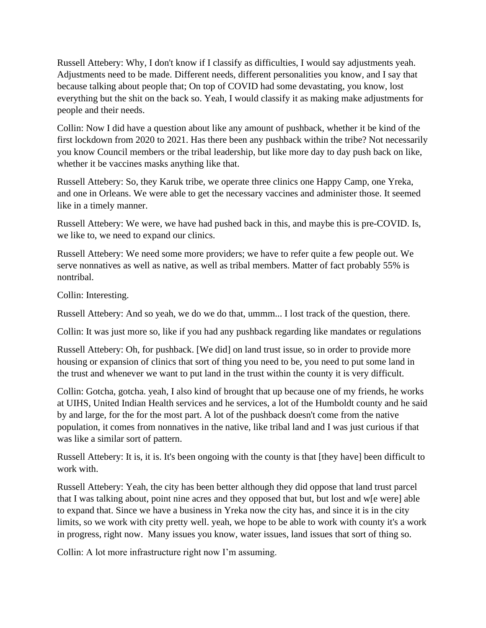Russell Attebery: Why, I don't know if I classify as difficulties, I would say adjustments yeah. Adjustments need to be made. Different needs, different personalities you know, and I say that because talking about people that; On top of COVID had some devastating, you know, lost everything but the shit on the back so. Yeah, I would classify it as making make adjustments for people and their needs.

Collin: Now I did have a question about like any amount of pushback, whether it be kind of the first lockdown from 2020 to 2021. Has there been any pushback within the tribe? Not necessarily you know Council members or the tribal leadership, but like more day to day push back on like, whether it be vaccines masks anything like that.

Russell Attebery: So, they Karuk tribe, we operate three clinics one Happy Camp, one Yreka, and one in Orleans. We were able to get the necessary vaccines and administer those. It seemed like in a timely manner.

Russell Attebery: We were, we have had pushed back in this, and maybe this is pre-COVID. Is, we like to, we need to expand our clinics.

Russell Attebery: We need some more providers; we have to refer quite a few people out. We serve nonnatives as well as native, as well as tribal members. Matter of fact probably 55% is nontribal.

Collin: Interesting.

Russell Attebery: And so yeah, we do we do that, ummm... I lost track of the question, there.

Collin: It was just more so, like if you had any pushback regarding like mandates or regulations

Russell Attebery: Oh, for pushback. [We did] on land trust issue, so in order to provide more housing or expansion of clinics that sort of thing you need to be, you need to put some land in the trust and whenever we want to put land in the trust within the county it is very difficult.

Collin: Gotcha, gotcha. yeah, I also kind of brought that up because one of my friends, he works at UIHS, United Indian Health services and he services, a lot of the Humboldt county and he said by and large, for the for the most part. A lot of the pushback doesn't come from the native population, it comes from nonnatives in the native, like tribal land and I was just curious if that was like a similar sort of pattern.

Russell Attebery: It is, it is. It's been ongoing with the county is that [they have] been difficult to work with.

Russell Attebery: Yeah, the city has been better although they did oppose that land trust parcel that I was talking about, point nine acres and they opposed that but, but lost and w[e were] able to expand that. Since we have a business in Yreka now the city has, and since it is in the city limits, so we work with city pretty well. yeah, we hope to be able to work with county it's a work in progress, right now. Many issues you know, water issues, land issues that sort of thing so.

Collin: A lot more infrastructure right now I'm assuming.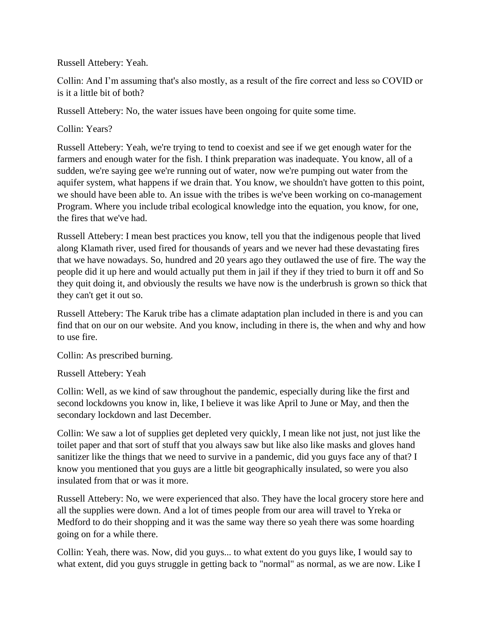Russell Attebery: Yeah.

Collin: And I'm assuming that's also mostly, as a result of the fire correct and less so COVID or is it a little bit of both?

Russell Attebery: No, the water issues have been ongoing for quite some time.

Collin: Years?

Russell Attebery: Yeah, we're trying to tend to coexist and see if we get enough water for the farmers and enough water for the fish. I think preparation was inadequate. You know, all of a sudden, we're saying gee we're running out of water, now we're pumping out water from the aquifer system, what happens if we drain that. You know, we shouldn't have gotten to this point, we should have been able to. An issue with the tribes is we've been working on co-management Program. Where you include tribal ecological knowledge into the equation, you know, for one, the fires that we've had.

Russell Attebery: I mean best practices you know, tell you that the indigenous people that lived along Klamath river, used fired for thousands of years and we never had these devastating fires that we have nowadays. So, hundred and 20 years ago they outlawed the use of fire. The way the people did it up here and would actually put them in jail if they if they tried to burn it off and So they quit doing it, and obviously the results we have now is the underbrush is grown so thick that they can't get it out so.

Russell Attebery: The Karuk tribe has a climate adaptation plan included in there is and you can find that on our on our website. And you know, including in there is, the when and why and how to use fire.

Collin: As prescribed burning.

Russell Attebery: Yeah

Collin: Well, as we kind of saw throughout the pandemic, especially during like the first and second lockdowns you know in, like, I believe it was like April to June or May, and then the secondary lockdown and last December.

Collin: We saw a lot of supplies get depleted very quickly, I mean like not just, not just like the toilet paper and that sort of stuff that you always saw but like also like masks and gloves hand sanitizer like the things that we need to survive in a pandemic, did you guys face any of that? I know you mentioned that you guys are a little bit geographically insulated, so were you also insulated from that or was it more.

Russell Attebery: No, we were experienced that also. They have the local grocery store here and all the supplies were down. And a lot of times people from our area will travel to Yreka or Medford to do their shopping and it was the same way there so yeah there was some hoarding going on for a while there.

Collin: Yeah, there was. Now, did you guys... to what extent do you guys like, I would say to what extent, did you guys struggle in getting back to "normal" as normal, as we are now. Like I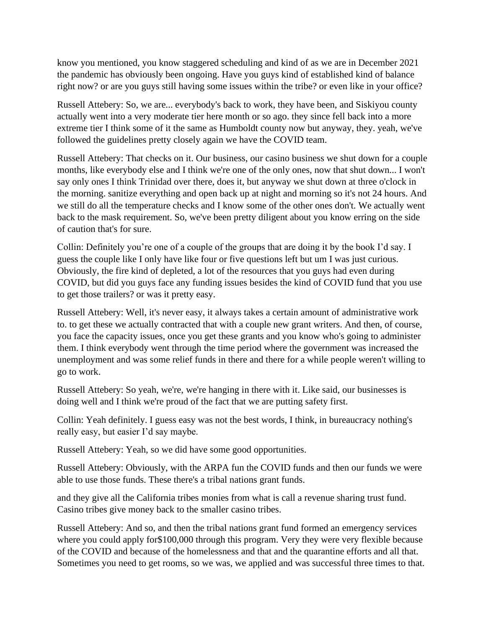know you mentioned, you know staggered scheduling and kind of as we are in December 2021 the pandemic has obviously been ongoing. Have you guys kind of established kind of balance right now? or are you guys still having some issues within the tribe? or even like in your office?

Russell Attebery: So, we are... everybody's back to work, they have been, and Siskiyou county actually went into a very moderate tier here month or so ago. they since fell back into a more extreme tier I think some of it the same as Humboldt county now but anyway, they. yeah, we've followed the guidelines pretty closely again we have the COVID team.

Russell Attebery: That checks on it. Our business, our casino business we shut down for a couple months, like everybody else and I think we're one of the only ones, now that shut down... I won't say only ones I think Trinidad over there, does it, but anyway we shut down at three o'clock in the morning. sanitize everything and open back up at night and morning so it's not 24 hours. And we still do all the temperature checks and I know some of the other ones don't. We actually went back to the mask requirement. So, we've been pretty diligent about you know erring on the side of caution that's for sure.

Collin: Definitely you're one of a couple of the groups that are doing it by the book I'd say. I guess the couple like I only have like four or five questions left but um I was just curious. Obviously, the fire kind of depleted, a lot of the resources that you guys had even during COVID, but did you guys face any funding issues besides the kind of COVID fund that you use to get those trailers? or was it pretty easy.

Russell Attebery: Well, it's never easy, it always takes a certain amount of administrative work to. to get these we actually contracted that with a couple new grant writers. And then, of course, you face the capacity issues, once you get these grants and you know who's going to administer them. I think everybody went through the time period where the government was increased the unemployment and was some relief funds in there and there for a while people weren't willing to go to work.

Russell Attebery: So yeah, we're, we're hanging in there with it. Like said, our businesses is doing well and I think we're proud of the fact that we are putting safety first.

Collin: Yeah definitely. I guess easy was not the best words, I think, in bureaucracy nothing's really easy, but easier I'd say maybe.

Russell Attebery: Yeah, so we did have some good opportunities.

Russell Attebery: Obviously, with the ARPA fun the COVID funds and then our funds we were able to use those funds. These there's a tribal nations grant funds.

and they give all the California tribes monies from what is call a revenue sharing trust fund. Casino tribes give money back to the smaller casino tribes.

Russell Attebery: And so, and then the tribal nations grant fund formed an emergency services where you could apply for\$100,000 through this program. Very they were very flexible because of the COVID and because of the homelessness and that and the quarantine efforts and all that. Sometimes you need to get rooms, so we was, we applied and was successful three times to that.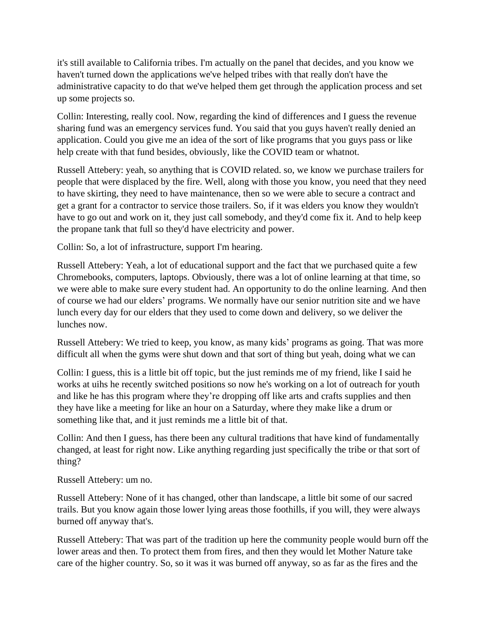it's still available to California tribes. I'm actually on the panel that decides, and you know we haven't turned down the applications we've helped tribes with that really don't have the administrative capacity to do that we've helped them get through the application process and set up some projects so.

Collin: Interesting, really cool. Now, regarding the kind of differences and I guess the revenue sharing fund was an emergency services fund. You said that you guys haven't really denied an application. Could you give me an idea of the sort of like programs that you guys pass or like help create with that fund besides, obviously, like the COVID team or whatnot.

Russell Attebery: yeah, so anything that is COVID related. so, we know we purchase trailers for people that were displaced by the fire. Well, along with those you know, you need that they need to have skirting, they need to have maintenance, then so we were able to secure a contract and get a grant for a contractor to service those trailers. So, if it was elders you know they wouldn't have to go out and work on it, they just call somebody, and they'd come fix it. And to help keep the propane tank that full so they'd have electricity and power.

Collin: So, a lot of infrastructure, support I'm hearing.

Russell Attebery: Yeah, a lot of educational support and the fact that we purchased quite a few Chromebooks, computers, laptops. Obviously, there was a lot of online learning at that time, so we were able to make sure every student had. An opportunity to do the online learning. And then of course we had our elders' programs. We normally have our senior nutrition site and we have lunch every day for our elders that they used to come down and delivery, so we deliver the lunches now.

Russell Attebery: We tried to keep, you know, as many kids' programs as going. That was more difficult all when the gyms were shut down and that sort of thing but yeah, doing what we can

Collin: I guess, this is a little bit off topic, but the just reminds me of my friend, like I said he works at uihs he recently switched positions so now he's working on a lot of outreach for youth and like he has this program where they're dropping off like arts and crafts supplies and then they have like a meeting for like an hour on a Saturday, where they make like a drum or something like that, and it just reminds me a little bit of that.

Collin: And then I guess, has there been any cultural traditions that have kind of fundamentally changed, at least for right now. Like anything regarding just specifically the tribe or that sort of thing?

Russell Attebery: um no.

Russell Attebery: None of it has changed, other than landscape, a little bit some of our sacred trails. But you know again those lower lying areas those foothills, if you will, they were always burned off anyway that's.

Russell Attebery: That was part of the tradition up here the community people would burn off the lower areas and then. To protect them from fires, and then they would let Mother Nature take care of the higher country. So, so it was it was burned off anyway, so as far as the fires and the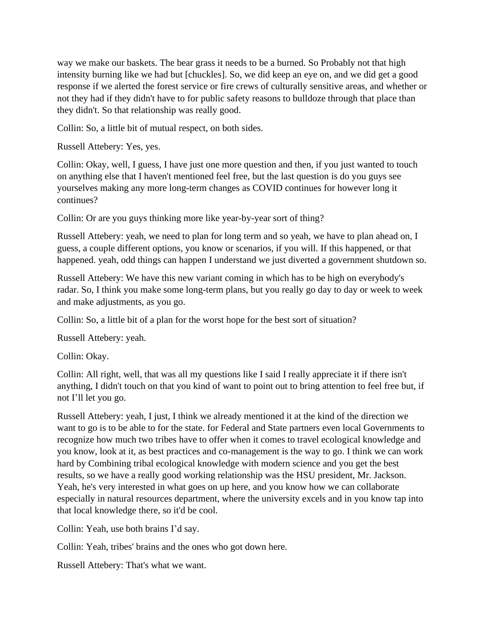way we make our baskets. The bear grass it needs to be a burned. So Probably not that high intensity burning like we had but [chuckles]. So, we did keep an eye on, and we did get a good response if we alerted the forest service or fire crews of culturally sensitive areas, and whether or not they had if they didn't have to for public safety reasons to bulldoze through that place than they didn't. So that relationship was really good.

Collin: So, a little bit of mutual respect, on both sides.

Russell Attebery: Yes, yes.

Collin: Okay, well, I guess, I have just one more question and then, if you just wanted to touch on anything else that I haven't mentioned feel free, but the last question is do you guys see yourselves making any more long-term changes as COVID continues for however long it continues?

Collin: Or are you guys thinking more like year-by-year sort of thing?

Russell Attebery: yeah, we need to plan for long term and so yeah, we have to plan ahead on, I guess, a couple different options, you know or scenarios, if you will. If this happened, or that happened. yeah, odd things can happen I understand we just diverted a government shutdown so.

Russell Attebery: We have this new variant coming in which has to be high on everybody's radar. So, I think you make some long-term plans, but you really go day to day or week to week and make adjustments, as you go.

Collin: So, a little bit of a plan for the worst hope for the best sort of situation?

Russell Attebery: yeah.

Collin: Okay.

Collin: All right, well, that was all my questions like I said I really appreciate it if there isn't anything, I didn't touch on that you kind of want to point out to bring attention to feel free but, if not I'll let you go.

Russell Attebery: yeah, I just, I think we already mentioned it at the kind of the direction we want to go is to be able to for the state. for Federal and State partners even local Governments to recognize how much two tribes have to offer when it comes to travel ecological knowledge and you know, look at it, as best practices and co-management is the way to go. I think we can work hard by Combining tribal ecological knowledge with modern science and you get the best results, so we have a really good working relationship was the HSU president, Mr. Jackson. Yeah, he's very interested in what goes on up here, and you know how we can collaborate especially in natural resources department, where the university excels and in you know tap into that local knowledge there, so it'd be cool.

Collin: Yeah, use both brains I'd say.

Collin: Yeah, tribes' brains and the ones who got down here.

Russell Attebery: That's what we want.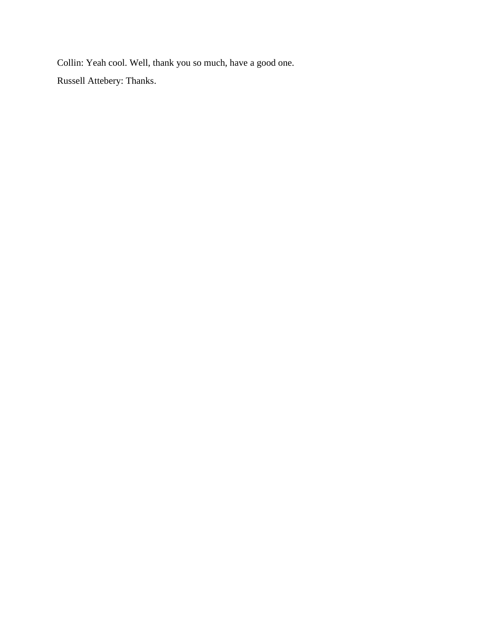Collin: Yeah cool. Well, thank you so much, have a good one. Russell Attebery: Thanks.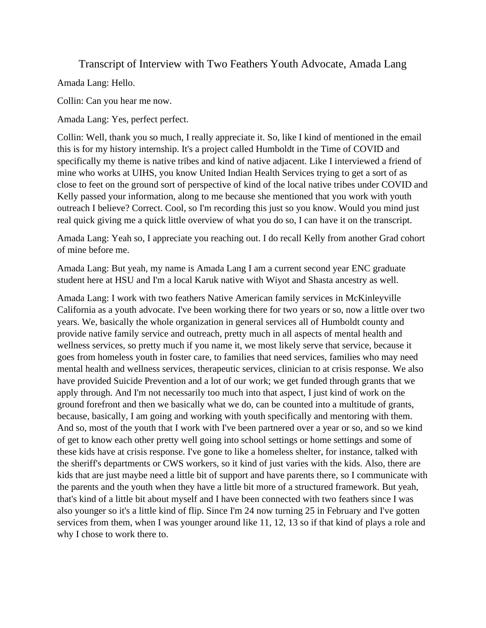Transcript of Interview with Two Feathers Youth Advocate, Amada Lang

Amada Lang: Hello.

Collin: Can you hear me now.

Amada Lang: Yes, perfect perfect.

Collin: Well, thank you so much, I really appreciate it. So, like I kind of mentioned in the email this is for my history internship. It's a project called Humboldt in the Time of COVID and specifically my theme is native tribes and kind of native adjacent. Like I interviewed a friend of mine who works at UIHS, you know United Indian Health Services trying to get a sort of as close to feet on the ground sort of perspective of kind of the local native tribes under COVID and Kelly passed your information, along to me because she mentioned that you work with youth outreach I believe? Correct. Cool, so I'm recording this just so you know. Would you mind just real quick giving me a quick little overview of what you do so, I can have it on the transcript.

Amada Lang: Yeah so, I appreciate you reaching out. I do recall Kelly from another Grad cohort of mine before me.

Amada Lang: But yeah, my name is Amada Lang I am a current second year ENC graduate student here at HSU and I'm a local Karuk native with Wiyot and Shasta ancestry as well.

Amada Lang: I work with two feathers Native American family services in McKinleyville California as a youth advocate. I've been working there for two years or so, now a little over two years. We, basically the whole organization in general services all of Humboldt county and provide native family service and outreach, pretty much in all aspects of mental health and wellness services, so pretty much if you name it, we most likely serve that service, because it goes from homeless youth in foster care, to families that need services, families who may need mental health and wellness services, therapeutic services, clinician to at crisis response. We also have provided Suicide Prevention and a lot of our work; we get funded through grants that we apply through. And I'm not necessarily too much into that aspect, I just kind of work on the ground forefront and then we basically what we do, can be counted into a multitude of grants, because, basically, I am going and working with youth specifically and mentoring with them. And so, most of the youth that I work with I've been partnered over a year or so, and so we kind of get to know each other pretty well going into school settings or home settings and some of these kids have at crisis response. I've gone to like a homeless shelter, for instance, talked with the sheriff's departments or CWS workers, so it kind of just varies with the kids. Also, there are kids that are just maybe need a little bit of support and have parents there, so I communicate with the parents and the youth when they have a little bit more of a structured framework. But yeah, that's kind of a little bit about myself and I have been connected with two feathers since I was also younger so it's a little kind of flip. Since I'm 24 now turning 25 in February and I've gotten services from them, when I was younger around like 11, 12, 13 so if that kind of plays a role and why I chose to work there to.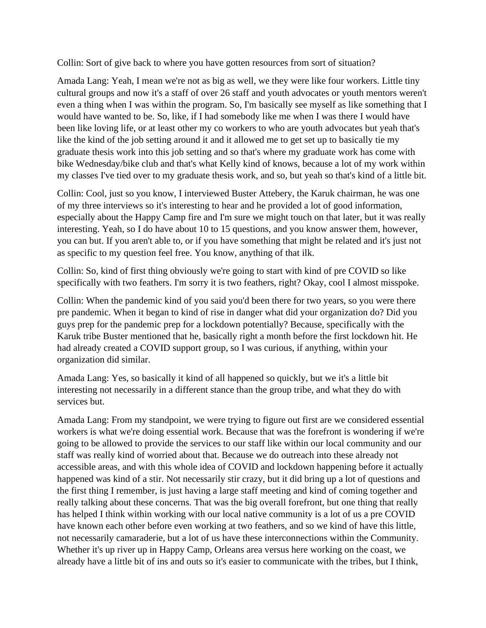Collin: Sort of give back to where you have gotten resources from sort of situation?

Amada Lang: Yeah, I mean we're not as big as well, we they were like four workers. Little tiny cultural groups and now it's a staff of over 26 staff and youth advocates or youth mentors weren't even a thing when I was within the program. So, I'm basically see myself as like something that I would have wanted to be. So, like, if I had somebody like me when I was there I would have been like loving life, or at least other my co workers to who are youth advocates but yeah that's like the kind of the job setting around it and it allowed me to get set up to basically tie my graduate thesis work into this job setting and so that's where my graduate work has come with bike Wednesday/bike club and that's what Kelly kind of knows, because a lot of my work within my classes I've tied over to my graduate thesis work, and so, but yeah so that's kind of a little bit.

Collin: Cool, just so you know, I interviewed Buster Attebery, the Karuk chairman, he was one of my three interviews so it's interesting to hear and he provided a lot of good information, especially about the Happy Camp fire and I'm sure we might touch on that later, but it was really interesting. Yeah, so I do have about 10 to 15 questions, and you know answer them, however, you can but. If you aren't able to, or if you have something that might be related and it's just not as specific to my question feel free. You know, anything of that ilk.

Collin: So, kind of first thing obviously we're going to start with kind of pre COVID so like specifically with two feathers. I'm sorry it is two feathers, right? Okay, cool I almost misspoke.

Collin: When the pandemic kind of you said you'd been there for two years, so you were there pre pandemic. When it began to kind of rise in danger what did your organization do? Did you guys prep for the pandemic prep for a lockdown potentially? Because, specifically with the Karuk tribe Buster mentioned that he, basically right a month before the first lockdown hit. He had already created a COVID support group, so I was curious, if anything, within your organization did similar.

Amada Lang: Yes, so basically it kind of all happened so quickly, but we it's a little bit interesting not necessarily in a different stance than the group tribe, and what they do with services but.

Amada Lang: From my standpoint, we were trying to figure out first are we considered essential workers is what we're doing essential work. Because that was the forefront is wondering if we're going to be allowed to provide the services to our staff like within our local community and our staff was really kind of worried about that. Because we do outreach into these already not accessible areas, and with this whole idea of COVID and lockdown happening before it actually happened was kind of a stir. Not necessarily stir crazy, but it did bring up a lot of questions and the first thing I remember, is just having a large staff meeting and kind of coming together and really talking about these concerns. That was the big overall forefront, but one thing that really has helped I think within working with our local native community is a lot of us a pre COVID have known each other before even working at two feathers, and so we kind of have this little, not necessarily camaraderie, but a lot of us have these interconnections within the Community. Whether it's up river up in Happy Camp, Orleans area versus here working on the coast, we already have a little bit of ins and outs so it's easier to communicate with the tribes, but I think,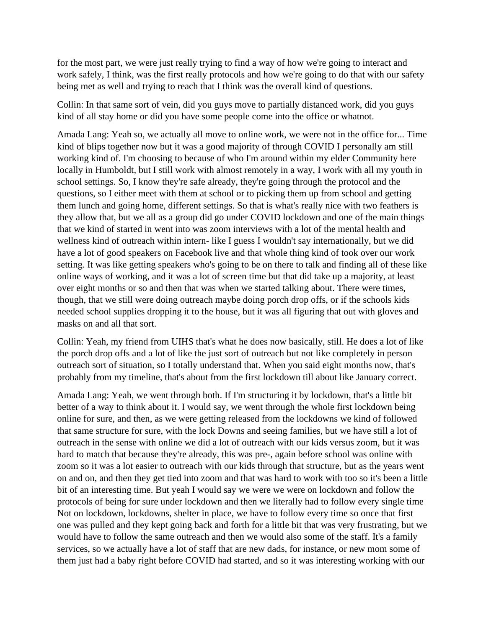for the most part, we were just really trying to find a way of how we're going to interact and work safely, I think, was the first really protocols and how we're going to do that with our safety being met as well and trying to reach that I think was the overall kind of questions.

Collin: In that same sort of vein, did you guys move to partially distanced work, did you guys kind of all stay home or did you have some people come into the office or whatnot.

Amada Lang: Yeah so, we actually all move to online work, we were not in the office for... Time kind of blips together now but it was a good majority of through COVID I personally am still working kind of. I'm choosing to because of who I'm around within my elder Community here locally in Humboldt, but I still work with almost remotely in a way, I work with all my youth in school settings. So, I know they're safe already, they're going through the protocol and the questions, so I either meet with them at school or to picking them up from school and getting them lunch and going home, different settings. So that is what's really nice with two feathers is they allow that, but we all as a group did go under COVID lockdown and one of the main things that we kind of started in went into was zoom interviews with a lot of the mental health and wellness kind of outreach within intern- like I guess I wouldn't say internationally, but we did have a lot of good speakers on Facebook live and that whole thing kind of took over our work setting. It was like getting speakers who's going to be on there to talk and finding all of these like online ways of working, and it was a lot of screen time but that did take up a majority, at least over eight months or so and then that was when we started talking about. There were times, though, that we still were doing outreach maybe doing porch drop offs, or if the schools kids needed school supplies dropping it to the house, but it was all figuring that out with gloves and masks on and all that sort.

Collin: Yeah, my friend from UIHS that's what he does now basically, still. He does a lot of like the porch drop offs and a lot of like the just sort of outreach but not like completely in person outreach sort of situation, so I totally understand that. When you said eight months now, that's probably from my timeline, that's about from the first lockdown till about like January correct.

Amada Lang: Yeah, we went through both. If I'm structuring it by lockdown, that's a little bit better of a way to think about it. I would say, we went through the whole first lockdown being online for sure, and then, as we were getting released from the lockdowns we kind of followed that same structure for sure, with the lock Downs and seeing families, but we have still a lot of outreach in the sense with online we did a lot of outreach with our kids versus zoom, but it was hard to match that because they're already, this was pre-, again before school was online with zoom so it was a lot easier to outreach with our kids through that structure, but as the years went on and on, and then they get tied into zoom and that was hard to work with too so it's been a little bit of an interesting time. But yeah I would say we were we were on lockdown and follow the protocols of being for sure under lockdown and then we literally had to follow every single time Not on lockdown, lockdowns, shelter in place, we have to follow every time so once that first one was pulled and they kept going back and forth for a little bit that was very frustrating, but we would have to follow the same outreach and then we would also some of the staff. It's a family services, so we actually have a lot of staff that are new dads, for instance, or new mom some of them just had a baby right before COVID had started, and so it was interesting working with our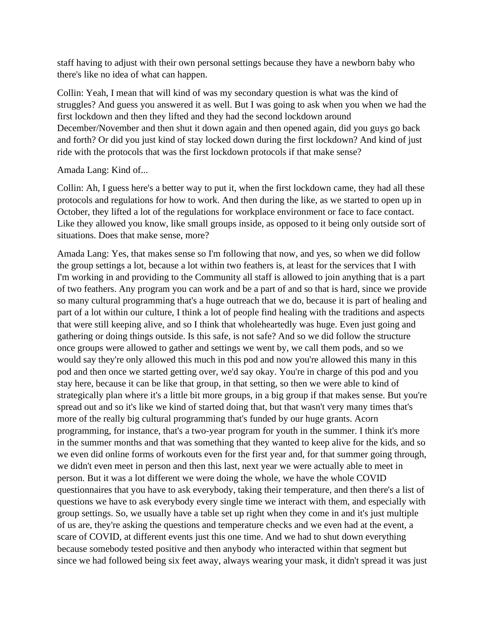staff having to adjust with their own personal settings because they have a newborn baby who there's like no idea of what can happen.

Collin: Yeah, I mean that will kind of was my secondary question is what was the kind of struggles? And guess you answered it as well. But I was going to ask when you when we had the first lockdown and then they lifted and they had the second lockdown around December/November and then shut it down again and then opened again, did you guys go back and forth? Or did you just kind of stay locked down during the first lockdown? And kind of just ride with the protocols that was the first lockdown protocols if that make sense?

### Amada Lang: Kind of...

Collin: Ah, I guess here's a better way to put it, when the first lockdown came, they had all these protocols and regulations for how to work. And then during the like, as we started to open up in October, they lifted a lot of the regulations for workplace environment or face to face contact. Like they allowed you know, like small groups inside, as opposed to it being only outside sort of situations. Does that make sense, more?

Amada Lang: Yes, that makes sense so I'm following that now, and yes, so when we did follow the group settings a lot, because a lot within two feathers is, at least for the services that I with I'm working in and providing to the Community all staff is allowed to join anything that is a part of two feathers. Any program you can work and be a part of and so that is hard, since we provide so many cultural programming that's a huge outreach that we do, because it is part of healing and part of a lot within our culture, I think a lot of people find healing with the traditions and aspects that were still keeping alive, and so I think that wholeheartedly was huge. Even just going and gathering or doing things outside. Is this safe, is not safe? And so we did follow the structure once groups were allowed to gather and settings we went by, we call them pods, and so we would say they're only allowed this much in this pod and now you're allowed this many in this pod and then once we started getting over, we'd say okay. You're in charge of this pod and you stay here, because it can be like that group, in that setting, so then we were able to kind of strategically plan where it's a little bit more groups, in a big group if that makes sense. But you're spread out and so it's like we kind of started doing that, but that wasn't very many times that's more of the really big cultural programming that's funded by our huge grants. Acorn programming, for instance, that's a two-year program for youth in the summer. I think it's more in the summer months and that was something that they wanted to keep alive for the kids, and so we even did online forms of workouts even for the first year and, for that summer going through, we didn't even meet in person and then this last, next year we were actually able to meet in person. But it was a lot different we were doing the whole, we have the whole COVID questionnaires that you have to ask everybody, taking their temperature, and then there's a list of questions we have to ask everybody every single time we interact with them, and especially with group settings. So, we usually have a table set up right when they come in and it's just multiple of us are, they're asking the questions and temperature checks and we even had at the event, a scare of COVID, at different events just this one time. And we had to shut down everything because somebody tested positive and then anybody who interacted within that segment but since we had followed being six feet away, always wearing your mask, it didn't spread it was just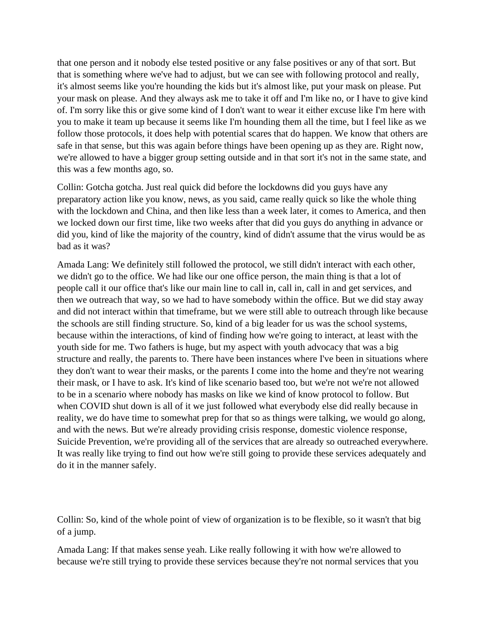that one person and it nobody else tested positive or any false positives or any of that sort. But that is something where we've had to adjust, but we can see with following protocol and really, it's almost seems like you're hounding the kids but it's almost like, put your mask on please. Put your mask on please. And they always ask me to take it off and I'm like no, or I have to give kind of. I'm sorry like this or give some kind of I don't want to wear it either excuse like I'm here with you to make it team up because it seems like I'm hounding them all the time, but I feel like as we follow those protocols, it does help with potential scares that do happen. We know that others are safe in that sense, but this was again before things have been opening up as they are. Right now, we're allowed to have a bigger group setting outside and in that sort it's not in the same state, and this was a few months ago, so.

Collin: Gotcha gotcha. Just real quick did before the lockdowns did you guys have any preparatory action like you know, news, as you said, came really quick so like the whole thing with the lockdown and China, and then like less than a week later, it comes to America, and then we locked down our first time, like two weeks after that did you guys do anything in advance or did you, kind of like the majority of the country, kind of didn't assume that the virus would be as bad as it was?

Amada Lang: We definitely still followed the protocol, we still didn't interact with each other, we didn't go to the office. We had like our one office person, the main thing is that a lot of people call it our office that's like our main line to call in, call in, call in and get services, and then we outreach that way, so we had to have somebody within the office. But we did stay away and did not interact within that timeframe, but we were still able to outreach through like because the schools are still finding structure. So, kind of a big leader for us was the school systems, because within the interactions, of kind of finding how we're going to interact, at least with the youth side for me. Two fathers is huge, but my aspect with youth advocacy that was a big structure and really, the parents to. There have been instances where I've been in situations where they don't want to wear their masks, or the parents I come into the home and they're not wearing their mask, or I have to ask. It's kind of like scenario based too, but we're not we're not allowed to be in a scenario where nobody has masks on like we kind of know protocol to follow. But when COVID shut down is all of it we just followed what everybody else did really because in reality, we do have time to somewhat prep for that so as things were talking, we would go along, and with the news. But we're already providing crisis response, domestic violence response, Suicide Prevention, we're providing all of the services that are already so outreached everywhere. It was really like trying to find out how we're still going to provide these services adequately and do it in the manner safely.

Collin: So, kind of the whole point of view of organization is to be flexible, so it wasn't that big of a jump.

Amada Lang: If that makes sense yeah. Like really following it with how we're allowed to because we're still trying to provide these services because they're not normal services that you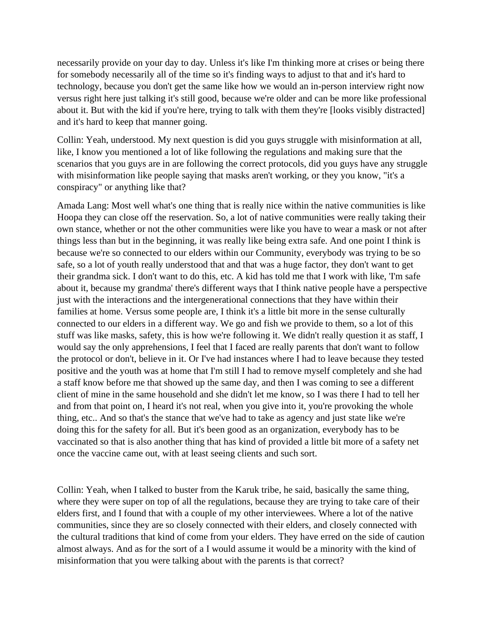necessarily provide on your day to day. Unless it's like I'm thinking more at crises or being there for somebody necessarily all of the time so it's finding ways to adjust to that and it's hard to technology, because you don't get the same like how we would an in-person interview right now versus right here just talking it's still good, because we're older and can be more like professional about it. But with the kid if you're here, trying to talk with them they're [looks visibly distracted] and it's hard to keep that manner going.

Collin: Yeah, understood. My next question is did you guys struggle with misinformation at all, like, I know you mentioned a lot of like following the regulations and making sure that the scenarios that you guys are in are following the correct protocols, did you guys have any struggle with misinformation like people saying that masks aren't working, or they you know, "it's a conspiracy" or anything like that?

Amada Lang: Most well what's one thing that is really nice within the native communities is like Hoopa they can close off the reservation. So, a lot of native communities were really taking their own stance, whether or not the other communities were like you have to wear a mask or not after things less than but in the beginning, it was really like being extra safe. And one point I think is because we're so connected to our elders within our Community, everybody was trying to be so safe, so a lot of youth really understood that and that was a huge factor, they don't want to get their grandma sick. I don't want to do this, etc. A kid has told me that I work with like, 'I'm safe about it, because my grandma' there's different ways that I think native people have a perspective just with the interactions and the intergenerational connections that they have within their families at home. Versus some people are, I think it's a little bit more in the sense culturally connected to our elders in a different way. We go and fish we provide to them, so a lot of this stuff was like masks, safety, this is how we're following it. We didn't really question it as staff, I would say the only apprehensions, I feel that I faced are really parents that don't want to follow the protocol or don't, believe in it. Or I've had instances where I had to leave because they tested positive and the youth was at home that I'm still I had to remove myself completely and she had a staff know before me that showed up the same day, and then I was coming to see a different client of mine in the same household and she didn't let me know, so I was there I had to tell her and from that point on, I heard it's not real, when you give into it, you're provoking the whole thing, etc.. And so that's the stance that we've had to take as agency and just state like we're doing this for the safety for all. But it's been good as an organization, everybody has to be vaccinated so that is also another thing that has kind of provided a little bit more of a safety net once the vaccine came out, with at least seeing clients and such sort.

Collin: Yeah, when I talked to buster from the Karuk tribe, he said, basically the same thing, where they were super on top of all the regulations, because they are trying to take care of their elders first, and I found that with a couple of my other interviewees. Where a lot of the native communities, since they are so closely connected with their elders, and closely connected with the cultural traditions that kind of come from your elders. They have erred on the side of caution almost always. And as for the sort of a I would assume it would be a minority with the kind of misinformation that you were talking about with the parents is that correct?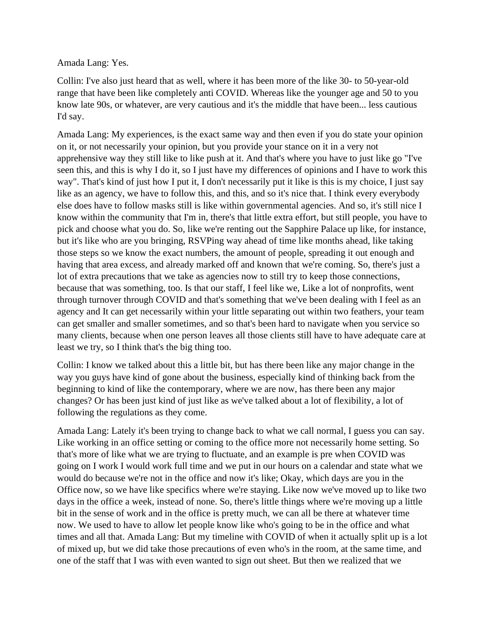Amada Lang: Yes.

Collin: I've also just heard that as well, where it has been more of the like 30- to 50-year-old range that have been like completely anti COVID. Whereas like the younger age and 50 to you know late 90s, or whatever, are very cautious and it's the middle that have been... less cautious I'd say.

Amada Lang: My experiences, is the exact same way and then even if you do state your opinion on it, or not necessarily your opinion, but you provide your stance on it in a very not apprehensive way they still like to like push at it. And that's where you have to just like go "I've seen this, and this is why I do it, so I just have my differences of opinions and I have to work this way". That's kind of just how I put it, I don't necessarily put it like is this is my choice, I just say like as an agency, we have to follow this, and this, and so it's nice that. I think every everybody else does have to follow masks still is like within governmental agencies. And so, it's still nice I know within the community that I'm in, there's that little extra effort, but still people, you have to pick and choose what you do. So, like we're renting out the Sapphire Palace up like, for instance, but it's like who are you bringing, RSVPing way ahead of time like months ahead, like taking those steps so we know the exact numbers, the amount of people, spreading it out enough and having that area excess, and already marked off and known that we're coming. So, there's just a lot of extra precautions that we take as agencies now to still try to keep those connections, because that was something, too. Is that our staff, I feel like we, Like a lot of nonprofits, went through turnover through COVID and that's something that we've been dealing with I feel as an agency and It can get necessarily within your little separating out within two feathers, your team can get smaller and smaller sometimes, and so that's been hard to navigate when you service so many clients, because when one person leaves all those clients still have to have adequate care at least we try, so I think that's the big thing too.

Collin: I know we talked about this a little bit, but has there been like any major change in the way you guys have kind of gone about the business, especially kind of thinking back from the beginning to kind of like the contemporary, where we are now, has there been any major changes? Or has been just kind of just like as we've talked about a lot of flexibility, a lot of following the regulations as they come.

Amada Lang: Lately it's been trying to change back to what we call normal, I guess you can say. Like working in an office setting or coming to the office more not necessarily home setting. So that's more of like what we are trying to fluctuate, and an example is pre when COVID was going on I work I would work full time and we put in our hours on a calendar and state what we would do because we're not in the office and now it's like; Okay, which days are you in the Office now, so we have like specifics where we're staying. Like now we've moved up to like two days in the office a week, instead of none. So, there's little things where we're moving up a little bit in the sense of work and in the office is pretty much, we can all be there at whatever time now. We used to have to allow let people know like who's going to be in the office and what times and all that. Amada Lang: But my timeline with COVID of when it actually split up is a lot of mixed up, but we did take those precautions of even who's in the room, at the same time, and one of the staff that I was with even wanted to sign out sheet. But then we realized that we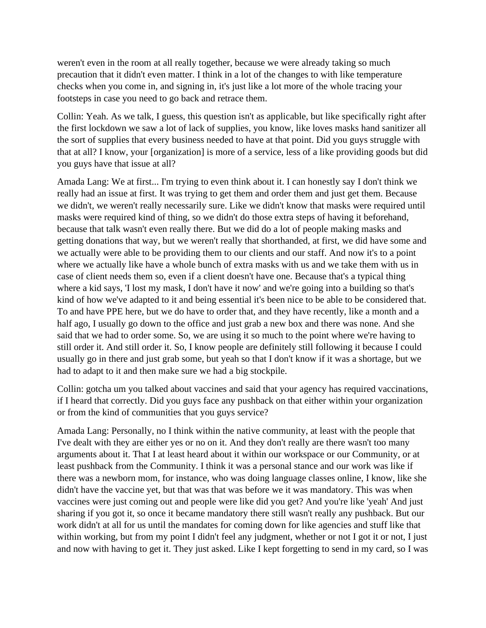weren't even in the room at all really together, because we were already taking so much precaution that it didn't even matter. I think in a lot of the changes to with like temperature checks when you come in, and signing in, it's just like a lot more of the whole tracing your footsteps in case you need to go back and retrace them.

Collin: Yeah. As we talk, I guess, this question isn't as applicable, but like specifically right after the first lockdown we saw a lot of lack of supplies, you know, like loves masks hand sanitizer all the sort of supplies that every business needed to have at that point. Did you guys struggle with that at all? I know, your [organization] is more of a service, less of a like providing goods but did you guys have that issue at all?

Amada Lang: We at first... I'm trying to even think about it. I can honestly say I don't think we really had an issue at first. It was trying to get them and order them and just get them. Because we didn't, we weren't really necessarily sure. Like we didn't know that masks were required until masks were required kind of thing, so we didn't do those extra steps of having it beforehand, because that talk wasn't even really there. But we did do a lot of people making masks and getting donations that way, but we weren't really that shorthanded, at first, we did have some and we actually were able to be providing them to our clients and our staff. And now it's to a point where we actually like have a whole bunch of extra masks with us and we take them with us in case of client needs them so, even if a client doesn't have one. Because that's a typical thing where a kid says, 'I lost my mask, I don't have it now' and we're going into a building so that's kind of how we've adapted to it and being essential it's been nice to be able to be considered that. To and have PPE here, but we do have to order that, and they have recently, like a month and a half ago, I usually go down to the office and just grab a new box and there was none. And she said that we had to order some. So, we are using it so much to the point where we're having to still order it. And still order it. So, I know people are definitely still following it because I could usually go in there and just grab some, but yeah so that I don't know if it was a shortage, but we had to adapt to it and then make sure we had a big stockpile.

Collin: gotcha um you talked about vaccines and said that your agency has required vaccinations, if I heard that correctly. Did you guys face any pushback on that either within your organization or from the kind of communities that you guys service?

Amada Lang: Personally, no I think within the native community, at least with the people that I've dealt with they are either yes or no on it. And they don't really are there wasn't too many arguments about it. That I at least heard about it within our workspace or our Community, or at least pushback from the Community. I think it was a personal stance and our work was like if there was a newborn mom, for instance, who was doing language classes online, I know, like she didn't have the vaccine yet, but that was that was before we it was mandatory. This was when vaccines were just coming out and people were like did you get? And you're like 'yeah' And just sharing if you got it, so once it became mandatory there still wasn't really any pushback. But our work didn't at all for us until the mandates for coming down for like agencies and stuff like that within working, but from my point I didn't feel any judgment, whether or not I got it or not, I just and now with having to get it. They just asked. Like I kept forgetting to send in my card, so I was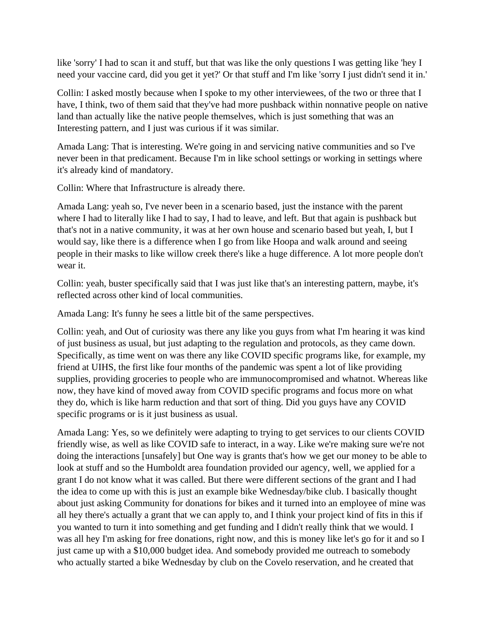like 'sorry' I had to scan it and stuff, but that was like the only questions I was getting like 'hey I need your vaccine card, did you get it yet?' Or that stuff and I'm like 'sorry I just didn't send it in.'

Collin: I asked mostly because when I spoke to my other interviewees, of the two or three that I have, I think, two of them said that they've had more pushback within nonnative people on native land than actually like the native people themselves, which is just something that was an Interesting pattern, and I just was curious if it was similar.

Amada Lang: That is interesting. We're going in and servicing native communities and so I've never been in that predicament. Because I'm in like school settings or working in settings where it's already kind of mandatory.

Collin: Where that Infrastructure is already there.

Amada Lang: yeah so, I've never been in a scenario based, just the instance with the parent where I had to literally like I had to say, I had to leave, and left. But that again is pushback but that's not in a native community, it was at her own house and scenario based but yeah, I, but I would say, like there is a difference when I go from like Hoopa and walk around and seeing people in their masks to like willow creek there's like a huge difference. A lot more people don't wear it.

Collin: yeah, buster specifically said that I was just like that's an interesting pattern, maybe, it's reflected across other kind of local communities.

Amada Lang: It's funny he sees a little bit of the same perspectives.

Collin: yeah, and Out of curiosity was there any like you guys from what I'm hearing it was kind of just business as usual, but just adapting to the regulation and protocols, as they came down. Specifically, as time went on was there any like COVID specific programs like, for example, my friend at UIHS, the first like four months of the pandemic was spent a lot of like providing supplies, providing groceries to people who are immunocompromised and whatnot. Whereas like now, they have kind of moved away from COVID specific programs and focus more on what they do, which is like harm reduction and that sort of thing. Did you guys have any COVID specific programs or is it just business as usual.

Amada Lang: Yes, so we definitely were adapting to trying to get services to our clients COVID friendly wise, as well as like COVID safe to interact, in a way. Like we're making sure we're not doing the interactions [unsafely] but One way is grants that's how we get our money to be able to look at stuff and so the Humboldt area foundation provided our agency, well, we applied for a grant I do not know what it was called. But there were different sections of the grant and I had the idea to come up with this is just an example bike Wednesday/bike club. I basically thought about just asking Community for donations for bikes and it turned into an employee of mine was all hey there's actually a grant that we can apply to, and I think your project kind of fits in this if you wanted to turn it into something and get funding and I didn't really think that we would. I was all hey I'm asking for free donations, right now, and this is money like let's go for it and so I just came up with a \$10,000 budget idea. And somebody provided me outreach to somebody who actually started a bike Wednesday by club on the Covelo reservation, and he created that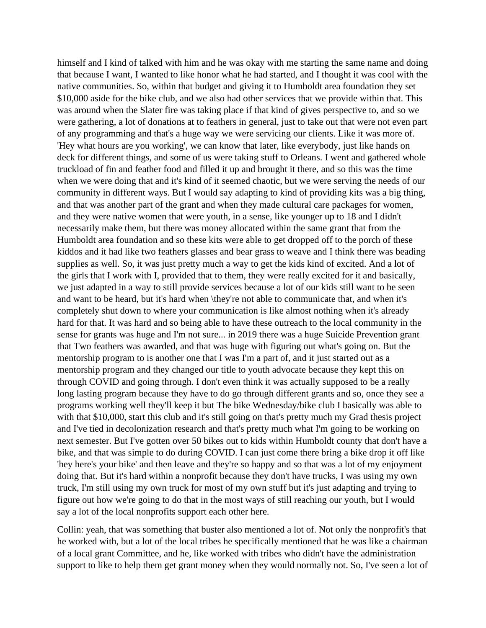himself and I kind of talked with him and he was okay with me starting the same name and doing that because I want, I wanted to like honor what he had started, and I thought it was cool with the native communities. So, within that budget and giving it to Humboldt area foundation they set \$10,000 aside for the bike club, and we also had other services that we provide within that. This was around when the Slater fire was taking place if that kind of gives perspective to, and so we were gathering, a lot of donations at to feathers in general, just to take out that were not even part of any programming and that's a huge way we were servicing our clients. Like it was more of. 'Hey what hours are you working', we can know that later, like everybody, just like hands on deck for different things, and some of us were taking stuff to Orleans. I went and gathered whole truckload of fin and feather food and filled it up and brought it there, and so this was the time when we were doing that and it's kind of it seemed chaotic, but we were serving the needs of our community in different ways. But I would say adapting to kind of providing kits was a big thing, and that was another part of the grant and when they made cultural care packages for women, and they were native women that were youth, in a sense, like younger up to 18 and I didn't necessarily make them, but there was money allocated within the same grant that from the Humboldt area foundation and so these kits were able to get dropped off to the porch of these kiddos and it had like two feathers glasses and bear grass to weave and I think there was beading supplies as well. So, it was just pretty much a way to get the kids kind of excited. And a lot of the girls that I work with I, provided that to them, they were really excited for it and basically, we just adapted in a way to still provide services because a lot of our kids still want to be seen and want to be heard, but it's hard when \they're not able to communicate that, and when it's completely shut down to where your communication is like almost nothing when it's already hard for that. It was hard and so being able to have these outreach to the local community in the sense for grants was huge and I'm not sure... in 2019 there was a huge Suicide Prevention grant that Two feathers was awarded, and that was huge with figuring out what's going on. But the mentorship program to is another one that I was I'm a part of, and it just started out as a mentorship program and they changed our title to youth advocate because they kept this on through COVID and going through. I don't even think it was actually supposed to be a really long lasting program because they have to do go through different grants and so, once they see a programs working well they'll keep it but The bike Wednesday/bike club I basically was able to with that \$10,000, start this club and it's still going on that's pretty much my Grad thesis project and I've tied in decolonization research and that's pretty much what I'm going to be working on next semester. But I've gotten over 50 bikes out to kids within Humboldt county that don't have a bike, and that was simple to do during COVID. I can just come there bring a bike drop it off like 'hey here's your bike' and then leave and they're so happy and so that was a lot of my enjoyment doing that. But it's hard within a nonprofit because they don't have trucks, I was using my own truck, I'm still using my own truck for most of my own stuff but it's just adapting and trying to figure out how we're going to do that in the most ways of still reaching our youth, but I would say a lot of the local nonprofits support each other here.

Collin: yeah, that was something that buster also mentioned a lot of. Not only the nonprofit's that he worked with, but a lot of the local tribes he specifically mentioned that he was like a chairman of a local grant Committee, and he, like worked with tribes who didn't have the administration support to like to help them get grant money when they would normally not. So, I've seen a lot of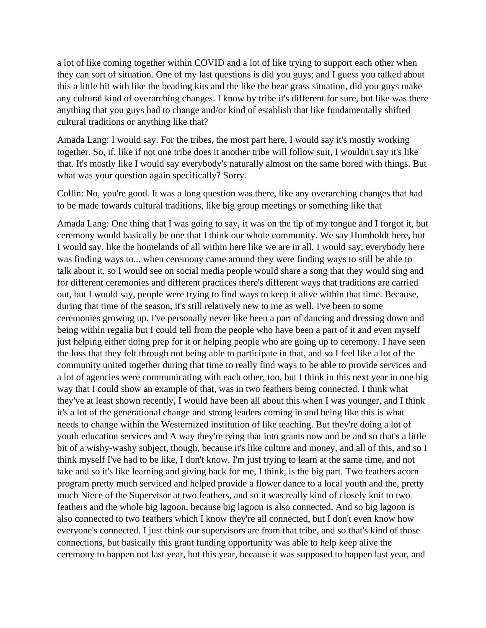a lot of like coming together within COVID and a lot of like trying to support each other when they can sort of situation. One of my last questions is did you guys; and I guess you talked about this a little bit with like the beading kits and the like the bear grass situation, did you guys make any cultural kind of overarching changes. I know by tribe it's different for sure, but like was there anything that you guys had to change and/or kind of establish that like fundamentally shifted cultural traditions or anything like that?

Amada Lang: I would say. For the tribes, the most part here, I would say it's mostly working together. So, if, like if not one tribe does it another tribe will follow suit, I wouldn't say it's like that. It's mostly like I would say everybody's naturally almost on the same bored with things. But what was your question again specifically? Sorry.

Collin: No, you're good. It was a long question was there, like any overarching changes that had to be made towards cultural traditions, like big group meetings or something like that

Amada Lang: One thing that I was going to say, it was on the tip of my tongue and I forgot it, but ceremony would basically be one that I think our whole community. We say Humboldt here, but I would say, like the homelands of all within here like we are in all, I would say, everybody here was finding ways to... when ceremony came around they were finding ways to still be able to talk about it, so I would see on social media people would share a song that they would sing and for different ceremonies and different practices there's different ways that traditions are carried out, but I would say, people were trying to find ways to keep it alive within that time. Because, during that time of the season, it's still relatively new to me as well. I've been to some ceremonies growing up. I've personally never like been a part of dancing and dressing down and being within regalia but I could tell from the people who have been a part of it and even myself just helping either doing prep for it or helping people who are going up to ceremony. I have seen the loss that they felt through not being able to participate in that, and so I feel like a lot of the community united together during that time to really find ways to be able to provide services and a lot of agencies were communicating with each other, too, but I think in this next year in one big way that I could show an example of that, was in two feathers being connected. I think what they've at least shown recently, I would have been all about this when I was younger, and I think it's a lot of the generational change and strong leaders coming in and being like this is what needs to change within the Westernized institution of like teaching. But they're doing a lot of youth education services and A way they're tying that into grants now and be and so that's a little bit of a wishy-washy subject, though, because it's like culture and money, and all of this, and so I think myself I've had to be like, I don't know. I'm just trying to learn at the same time, and not take and so it's like learning and giving back for me, I think, is the big part. Two feathers acorn program pretty much serviced and helped provide a flower dance to a local youth and the, pretty much Niece of the Supervisor at two feathers, and so it was really kind of closely knit to two feathers and the whole big lagoon, because big lagoon is also connected. And so big lagoon is also connected to two feathers which I know they're all connected, but I don't even know how everyone's connected. I just think our supervisors are from that tribe, and so that's kind of those connections, but basically this grant funding opportunity was able to help keep alive the ceremony to happen not last year, but this year, because it was supposed to happen last year, and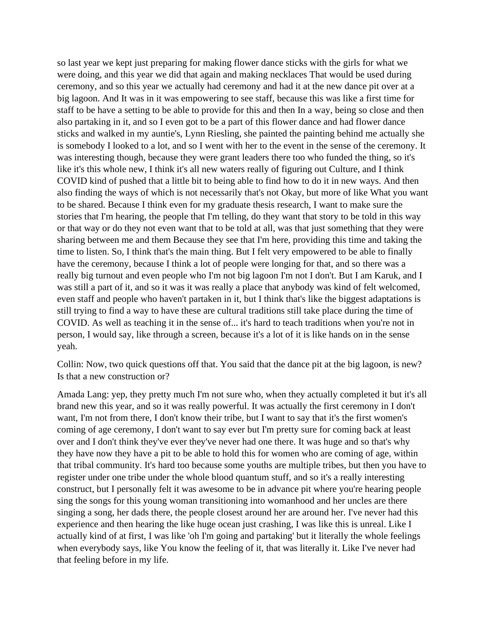so last year we kept just preparing for making flower dance sticks with the girls for what we were doing, and this year we did that again and making necklaces That would be used during ceremony, and so this year we actually had ceremony and had it at the new dance pit over at a big lagoon. And It was in it was empowering to see staff, because this was like a first time for staff to be have a setting to be able to provide for this and then In a way, being so close and then also partaking in it, and so I even got to be a part of this flower dance and had flower dance sticks and walked in my auntie's, Lynn Riesling, she painted the painting behind me actually she is somebody I looked to a lot, and so I went with her to the event in the sense of the ceremony. It was interesting though, because they were grant leaders there too who funded the thing, so it's like it's this whole new, I think it's all new waters really of figuring out Culture, and I think COVID kind of pushed that a little bit to being able to find how to do it in new ways. And then also finding the ways of which is not necessarily that's not Okay, but more of like What you want to be shared. Because I think even for my graduate thesis research, I want to make sure the stories that I'm hearing, the people that I'm telling, do they want that story to be told in this way or that way or do they not even want that to be told at all, was that just something that they were sharing between me and them Because they see that I'm here, providing this time and taking the time to listen. So, I think that's the main thing. But I felt very empowered to be able to finally have the ceremony, because I think a lot of people were longing for that, and so there was a really big turnout and even people who I'm not big lagoon I'm not I don't. But I am Karuk, and I was still a part of it, and so it was it was really a place that anybody was kind of felt welcomed, even staff and people who haven't partaken in it, but I think that's like the biggest adaptations is still trying to find a way to have these are cultural traditions still take place during the time of COVID. As well as teaching it in the sense of... it's hard to teach traditions when you're not in person, I would say, like through a screen, because it's a lot of it is like hands on in the sense yeah.

Collin: Now, two quick questions off that. You said that the dance pit at the big lagoon, is new? Is that a new construction or?

Amada Lang: yep, they pretty much I'm not sure who, when they actually completed it but it's all brand new this year, and so it was really powerful. It was actually the first ceremony in I don't want, I'm not from there, I don't know their tribe, but I want to say that it's the first women's coming of age ceremony, I don't want to say ever but I'm pretty sure for coming back at least over and I don't think they've ever they've never had one there. It was huge and so that's why they have now they have a pit to be able to hold this for women who are coming of age, within that tribal community. It's hard too because some youths are multiple tribes, but then you have to register under one tribe under the whole blood quantum stuff, and so it's a really interesting construct, but I personally felt it was awesome to be in advance pit where you're hearing people sing the songs for this young woman transitioning into womanhood and her uncles are there singing a song, her dads there, the people closest around her are around her. I've never had this experience and then hearing the like huge ocean just crashing, I was like this is unreal. Like I actually kind of at first, I was like 'oh I'm going and partaking' but it literally the whole feelings when everybody says, like You know the feeling of it, that was literally it. Like I've never had that feeling before in my life.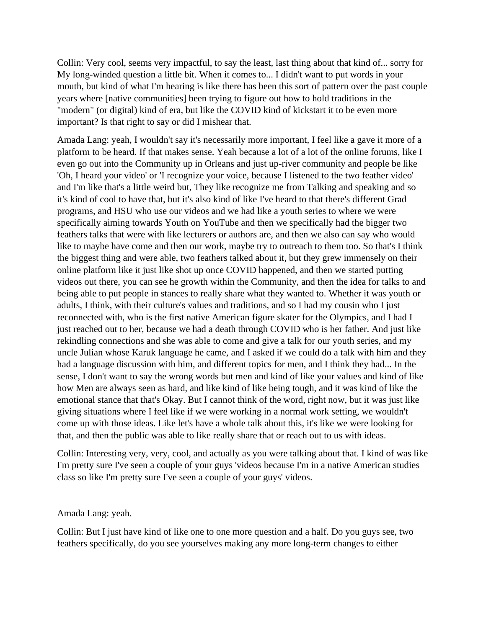Collin: Very cool, seems very impactful, to say the least, last thing about that kind of... sorry for My long-winded question a little bit. When it comes to... I didn't want to put words in your mouth, but kind of what I'm hearing is like there has been this sort of pattern over the past couple years where [native communities] been trying to figure out how to hold traditions in the "modern" (or digital) kind of era, but like the COVID kind of kickstart it to be even more important? Is that right to say or did I mishear that.

Amada Lang: yeah, I wouldn't say it's necessarily more important, I feel like a gave it more of a platform to be heard. If that makes sense. Yeah because a lot of a lot of the online forums, like I even go out into the Community up in Orleans and just up-river community and people be like 'Oh, I heard your video' or 'I recognize your voice, because I listened to the two feather video' and I'm like that's a little weird but, They like recognize me from Talking and speaking and so it's kind of cool to have that, but it's also kind of like I've heard to that there's different Grad programs, and HSU who use our videos and we had like a youth series to where we were specifically aiming towards Youth on YouTube and then we specifically had the bigger two feathers talks that were with like lecturers or authors are, and then we also can say who would like to maybe have come and then our work, maybe try to outreach to them too. So that's I think the biggest thing and were able, two feathers talked about it, but they grew immensely on their online platform like it just like shot up once COVID happened, and then we started putting videos out there, you can see he growth within the Community, and then the idea for talks to and being able to put people in stances to really share what they wanted to. Whether it was youth or adults, I think, with their culture's values and traditions, and so I had my cousin who I just reconnected with, who is the first native American figure skater for the Olympics, and I had I just reached out to her, because we had a death through COVID who is her father. And just like rekindling connections and she was able to come and give a talk for our youth series, and my uncle Julian whose Karuk language he came, and I asked if we could do a talk with him and they had a language discussion with him, and different topics for men, and I think they had... In the sense, I don't want to say the wrong words but men and kind of like your values and kind of like how Men are always seen as hard, and like kind of like being tough, and it was kind of like the emotional stance that that's Okay. But I cannot think of the word, right now, but it was just like giving situations where I feel like if we were working in a normal work setting, we wouldn't come up with those ideas. Like let's have a whole talk about this, it's like we were looking for that, and then the public was able to like really share that or reach out to us with ideas.

Collin: Interesting very, very, cool, and actually as you were talking about that. I kind of was like I'm pretty sure I've seen a couple of your guys 'videos because I'm in a native American studies class so like I'm pretty sure I've seen a couple of your guys' videos.

#### Amada Lang: yeah.

Collin: But I just have kind of like one to one more question and a half. Do you guys see, two feathers specifically, do you see yourselves making any more long-term changes to either